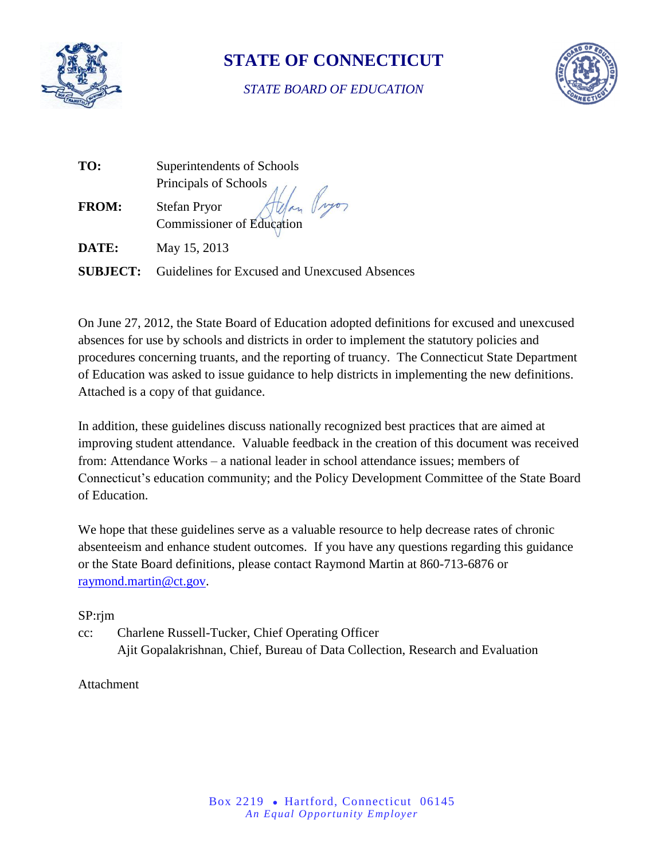

# **STATE OF CONNECTICUT**

## *STATE BOARD OF EDUCATION*



| TO:             | Superintendents of Schools                       |  |
|-----------------|--------------------------------------------------|--|
|                 | Principals of Schools                            |  |
| <b>FROM:</b>    | <b>Stefan Pryor</b><br>Commissioner of Education |  |
| DATE:           | May 15, 2013                                     |  |
| <b>SUBJECT:</b> | Guidelines for Excused and Unexcused Absences    |  |

On June 27, 2012, the State Board of Education adopted definitions for excused and unexcused absences for use by schools and districts in order to implement the statutory policies and procedures concerning truants, and the reporting of truancy. The Connecticut State Department of Education was asked to issue guidance to help districts in implementing the new definitions. Attached is a copy of that guidance.

In addition, these guidelines discuss nationally recognized best practices that are aimed at improving student attendance. Valuable feedback in the creation of this document was received from: Attendance Works – a national leader in school attendance issues; members of Connecticut's education community; and the Policy Development Committee of the State Board of Education.

We hope that these guidelines serve as a valuable resource to help decrease rates of chronic absenteeism and enhance student outcomes. If you have any questions regarding this guidance or the State Board definitions, please contact Raymond Martin at 860-713-6876 or [raymond.martin@ct.gov.](mailto:raymond.martin@ct.gov)

## SP:rjm

cc: Charlene Russell-Tucker, Chief Operating Officer Ajit Gopalakrishnan, Chief, Bureau of Data Collection, Research and Evaluation

## Attachment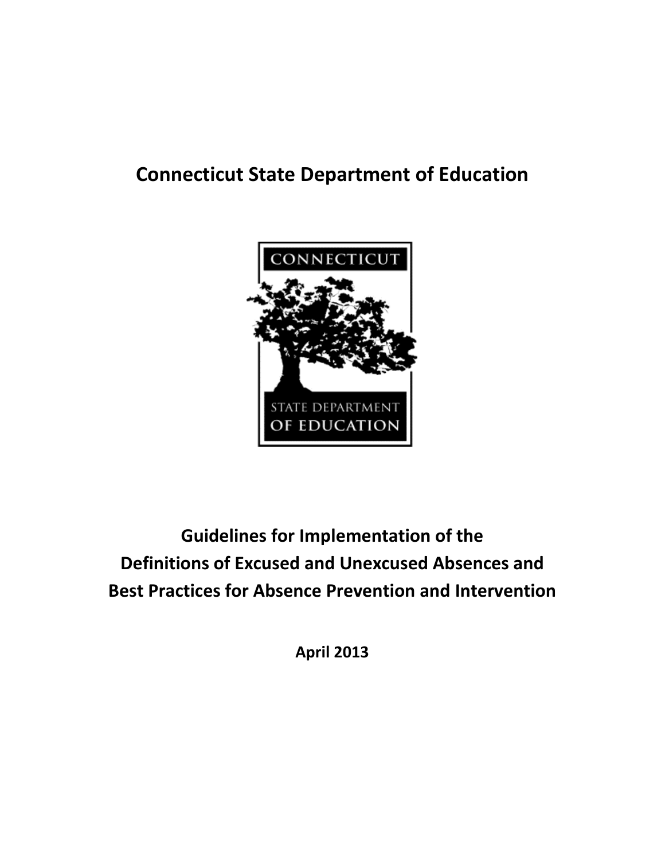# **Connecticut State Department of Education**



**Guidelines for Implementation of the Definitions of Excused and Unexcused Absences and Best Practices for Absence Prevention and Intervention**

**April 2013**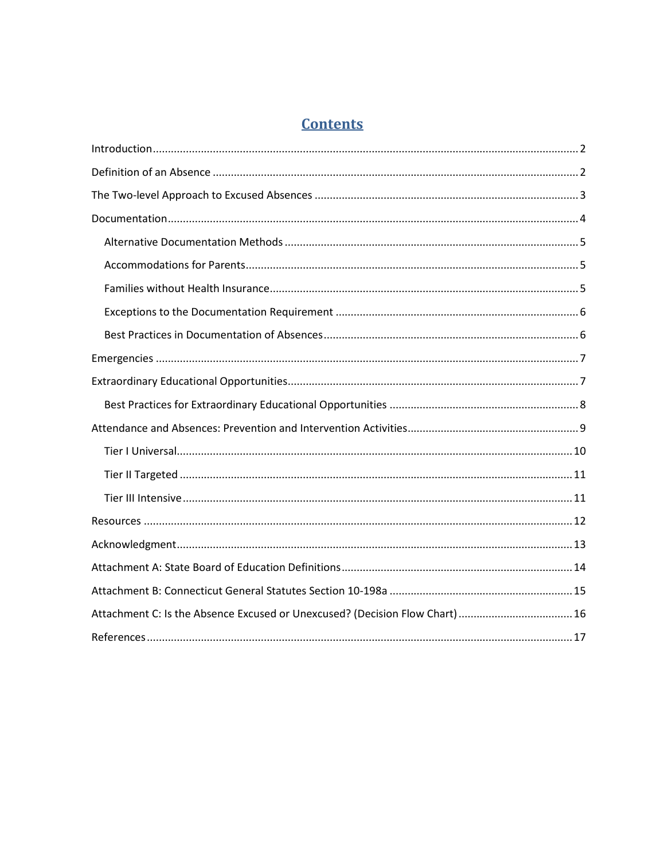## **Contents**

| Attachment C: Is the Absence Excused or Unexcused? (Decision Flow Chart)  16 |  |  |  |  |
|------------------------------------------------------------------------------|--|--|--|--|
|                                                                              |  |  |  |  |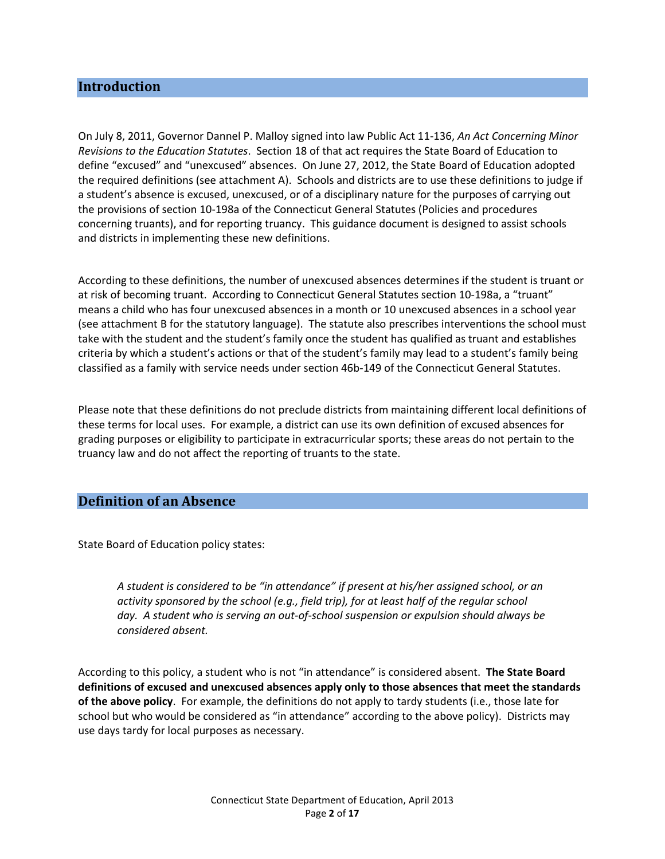## <span id="page-3-0"></span>**Introduction**

On July 8, 2011, Governor Dannel P. Malloy signed into law Public Act 11-136, *An Act Concerning Minor Revisions to the Education Statutes*. Section 18 of that act requires the State Board of Education to define "excused" and "unexcused" absences. On June 27, 2012, the State Board of Education adopted the required definitions (see attachment A). Schools and districts are to use these definitions to judge if a student's absence is excused, unexcused, or of a disciplinary nature for the purposes of carrying out the provisions of section 10-198a of the Connecticut General Statutes (Policies and procedures concerning truants), and for reporting truancy. This guidance document is designed to assist schools and districts in implementing these new definitions.

According to these definitions, the number of unexcused absences determines if the student is truant or at risk of becoming truant. According to Connecticut General Statutes section 10-198a, a "truant" means a child who has four unexcused absences in a month or 10 unexcused absences in a school year (see attachment B for the statutory language). The statute also prescribes interventions the school must take with the student and the student's family once the student has qualified as truant and establishes criteria by which a student's actions or that of the student's family may lead to a student's family being classified as a family with service needs under section 46b-149 of the Connecticut General Statutes.

Please note that these definitions do not preclude districts from maintaining different local definitions of these terms for local uses. For example, a district can use its own definition of excused absences for grading purposes or eligibility to participate in extracurricular sports; these areas do not pertain to the truancy law and do not affect the reporting of truants to the state.

#### <span id="page-3-1"></span>**Definition of an Absence**

State Board of Education policy states:

*A student is considered to be "in attendance" if present at his/her assigned school, or an activity sponsored by the school (e.g., field trip), for at least half of the regular school day. A student who is serving an out-of-school suspension or expulsion should always be considered absent.*

According to this policy, a student who is not "in attendance" is considered absent. **The State Board definitions of excused and unexcused absences apply only to those absences that meet the standards of the above policy**. For example, the definitions do not apply to tardy students (i.e., those late for school but who would be considered as "in attendance" according to the above policy). Districts may use days tardy for local purposes as necessary.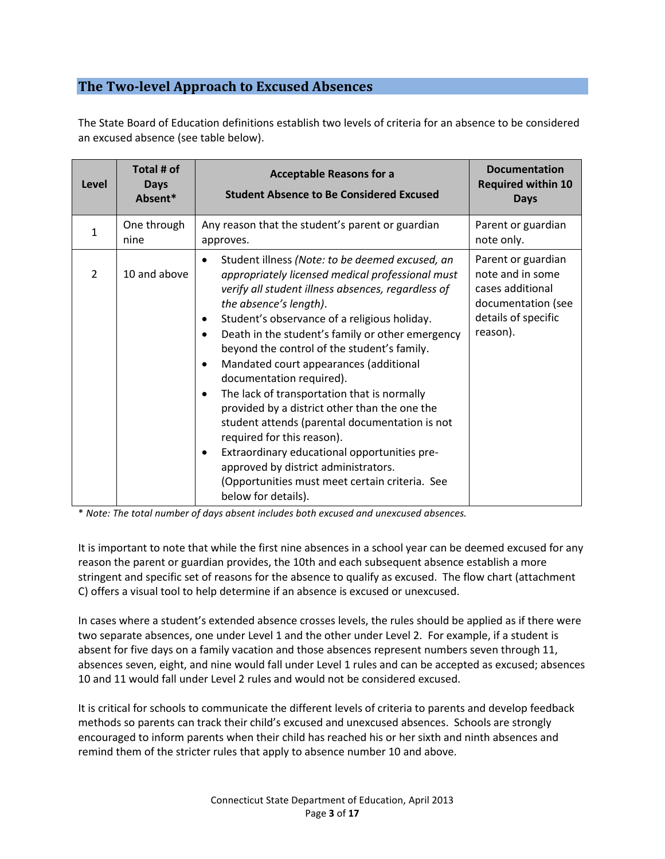## <span id="page-4-0"></span>**The Two-level Approach to Excused Absences**

The State Board of Education definitions establish two levels of criteria for an absence to be considered an excused absence (see table below).

| Level          | Total # of<br><b>Days</b><br>Absent* | <b>Acceptable Reasons for a</b><br><b>Student Absence to Be Considered Excused</b>                                                                                                                                                                                                                                                                                                                                                                                                                                                                                                                                                                                                                                                                                                                                                          | <b>Documentation</b><br><b>Required within 10</b><br><b>Days</b>                                                    |
|----------------|--------------------------------------|---------------------------------------------------------------------------------------------------------------------------------------------------------------------------------------------------------------------------------------------------------------------------------------------------------------------------------------------------------------------------------------------------------------------------------------------------------------------------------------------------------------------------------------------------------------------------------------------------------------------------------------------------------------------------------------------------------------------------------------------------------------------------------------------------------------------------------------------|---------------------------------------------------------------------------------------------------------------------|
| $\mathbf{1}$   | One through<br>nine                  | Any reason that the student's parent or guardian<br>approves.                                                                                                                                                                                                                                                                                                                                                                                                                                                                                                                                                                                                                                                                                                                                                                               | Parent or guardian<br>note only.                                                                                    |
| $\overline{2}$ | 10 and above                         | Student illness (Note: to be deemed excused, an<br>$\bullet$<br>appropriately licensed medical professional must<br>verify all student illness absences, regardless of<br>the absence's length).<br>Student's observance of a religious holiday.<br>$\bullet$<br>Death in the student's family or other emergency<br>$\bullet$<br>beyond the control of the student's family.<br>Mandated court appearances (additional<br>$\bullet$<br>documentation required).<br>The lack of transportation that is normally<br>$\bullet$<br>provided by a district other than the one the<br>student attends (parental documentation is not<br>required for this reason).<br>Extraordinary educational opportunities pre-<br>$\bullet$<br>approved by district administrators.<br>(Opportunities must meet certain criteria. See<br>below for details). | Parent or guardian<br>note and in some<br>cases additional<br>documentation (see<br>details of specific<br>reason). |

\* *Note: The total number of days absent includes both excused and unexcused absences.*

It is important to note that while the first nine absences in a school year can be deemed excused for any reason the parent or guardian provides, the 10th and each subsequent absence establish a more stringent and specific set of reasons for the absence to qualify as excused. The flow chart (attachment C) offers a visual tool to help determine if an absence is excused or unexcused.

In cases where a student's extended absence crosses levels, the rules should be applied as if there were two separate absences, one under Level 1 and the other under Level 2. For example, if a student is absent for five days on a family vacation and those absences represent numbers seven through 11, absences seven, eight, and nine would fall under Level 1 rules and can be accepted as excused; absences 10 and 11 would fall under Level 2 rules and would not be considered excused.

It is critical for schools to communicate the different levels of criteria to parents and develop feedback methods so parents can track their child's excused and unexcused absences. Schools are strongly encouraged to inform parents when their child has reached his or her sixth and ninth absences and remind them of the stricter rules that apply to absence number 10 and above.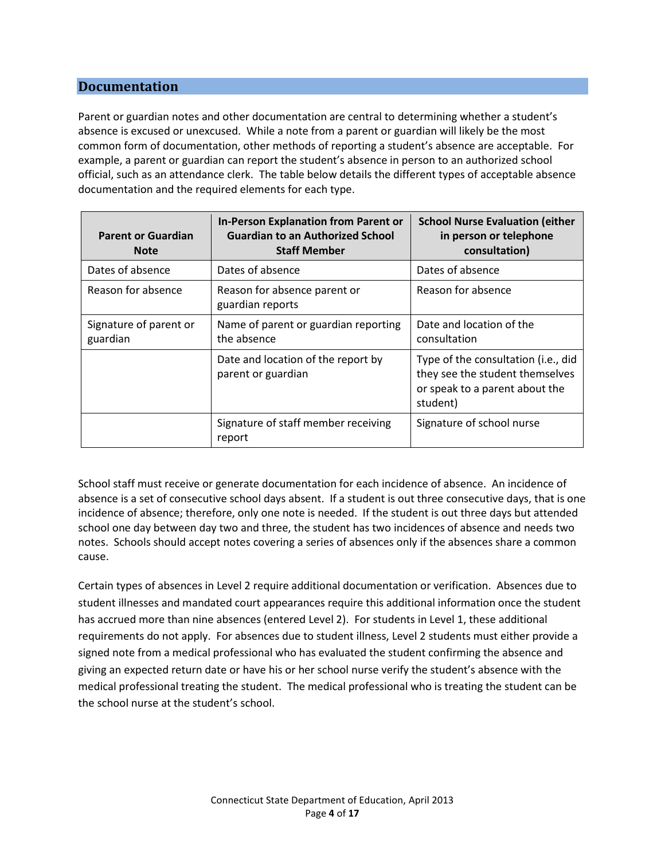## <span id="page-5-0"></span>**Documentation**

Parent or guardian notes and other documentation are central to determining whether a student's absence is excused or unexcused. While a note from a parent or guardian will likely be the most common form of documentation, other methods of reporting a student's absence are acceptable. For example, a parent or guardian can report the student's absence in person to an authorized school official, such as an attendance clerk. The table below details the different types of acceptable absence documentation and the required elements for each type.

| <b>Parent or Guardian</b><br><b>Note</b> | <b>In-Person Explanation from Parent or</b><br><b>Guardian to an Authorized School</b><br><b>Staff Member</b> | <b>School Nurse Evaluation (either</b><br>in person or telephone<br>consultation)                                    |
|------------------------------------------|---------------------------------------------------------------------------------------------------------------|----------------------------------------------------------------------------------------------------------------------|
| Dates of absence                         | Dates of absence                                                                                              | Dates of absence                                                                                                     |
| Reason for absence                       | Reason for absence parent or<br>guardian reports                                                              | Reason for absence                                                                                                   |
| Signature of parent or<br>guardian       | Name of parent or guardian reporting<br>the absence                                                           | Date and location of the<br>consultation                                                                             |
|                                          | Date and location of the report by<br>parent or guardian                                                      | Type of the consultation (i.e., did<br>they see the student themselves<br>or speak to a parent about the<br>student) |
|                                          | Signature of staff member receiving<br>report                                                                 | Signature of school nurse                                                                                            |

School staff must receive or generate documentation for each incidence of absence. An incidence of absence is a set of consecutive school days absent. If a student is out three consecutive days, that is one incidence of absence; therefore, only one note is needed. If the student is out three days but attended school one day between day two and three, the student has two incidences of absence and needs two notes. Schools should accept notes covering a series of absences only if the absences share a common cause.

Certain types of absences in Level 2 require additional documentation or verification. Absences due to student illnesses and mandated court appearances require this additional information once the student has accrued more than nine absences (entered Level 2). For students in Level 1, these additional requirements do not apply. For absences due to student illness, Level 2 students must either provide a signed note from a medical professional who has evaluated the student confirming the absence and giving an expected return date or have his or her school nurse verify the student's absence with the medical professional treating the student. The medical professional who is treating the student can be the school nurse at the student's school.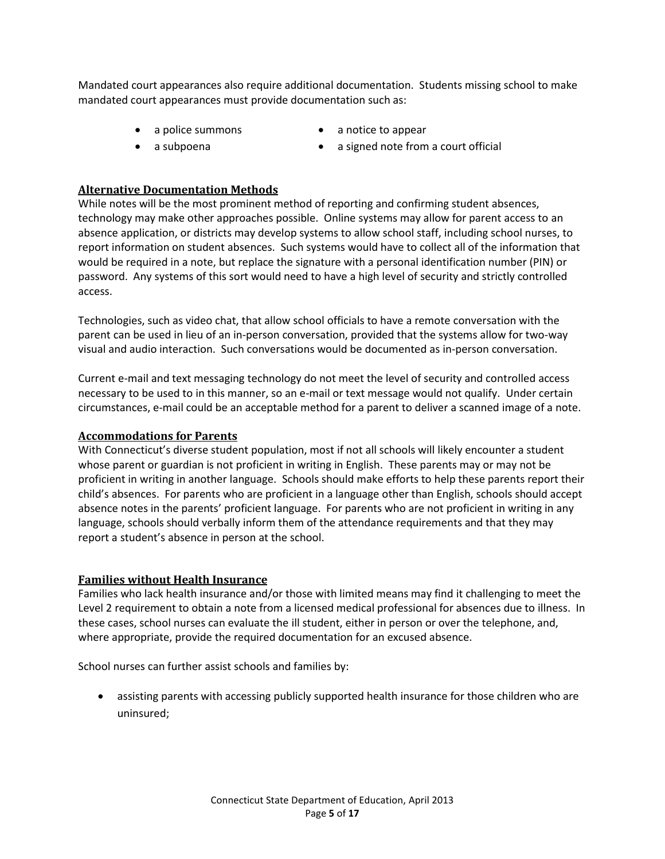Mandated court appearances also require additional documentation. Students missing school to make mandated court appearances must provide documentation such as:

- 
- 
- a police summons a notice to appear
- a subpoena **a** a signed note from a court official

## <span id="page-6-0"></span>**Alternative Documentation Methods**

While notes will be the most prominent method of reporting and confirming student absences, technology may make other approaches possible. Online systems may allow for parent access to an absence application, or districts may develop systems to allow school staff, including school nurses, to report information on student absences. Such systems would have to collect all of the information that would be required in a note, but replace the signature with a personal identification number (PIN) or password. Any systems of this sort would need to have a high level of security and strictly controlled access.

Technologies, such as video chat, that allow school officials to have a remote conversation with the parent can be used in lieu of an in-person conversation, provided that the systems allow for two-way visual and audio interaction. Such conversations would be documented as in-person conversation.

Current e-mail and text messaging technology do not meet the level of security and controlled access necessary to be used to in this manner, so an e-mail or text message would not qualify. Under certain circumstances, e-mail could be an acceptable method for a parent to deliver a scanned image of a note.

## <span id="page-6-1"></span>**Accommodations for Parents**

With Connecticut's diverse student population, most if not all schools will likely encounter a student whose parent or guardian is not proficient in writing in English. These parents may or may not be proficient in writing in another language. Schools should make efforts to help these parents report their child's absences. For parents who are proficient in a language other than English, schools should accept absence notes in the parents' proficient language. For parents who are not proficient in writing in any language, schools should verbally inform them of the attendance requirements and that they may report a student's absence in person at the school.

## <span id="page-6-2"></span>**Families without Health Insurance**

Families who lack health insurance and/or those with limited means may find it challenging to meet the Level 2 requirement to obtain a note from a licensed medical professional for absences due to illness. In these cases, school nurses can evaluate the ill student, either in person or over the telephone, and, where appropriate, provide the required documentation for an excused absence.

School nurses can further assist schools and families by:

 assisting parents with accessing publicly supported health insurance for those children who are uninsured;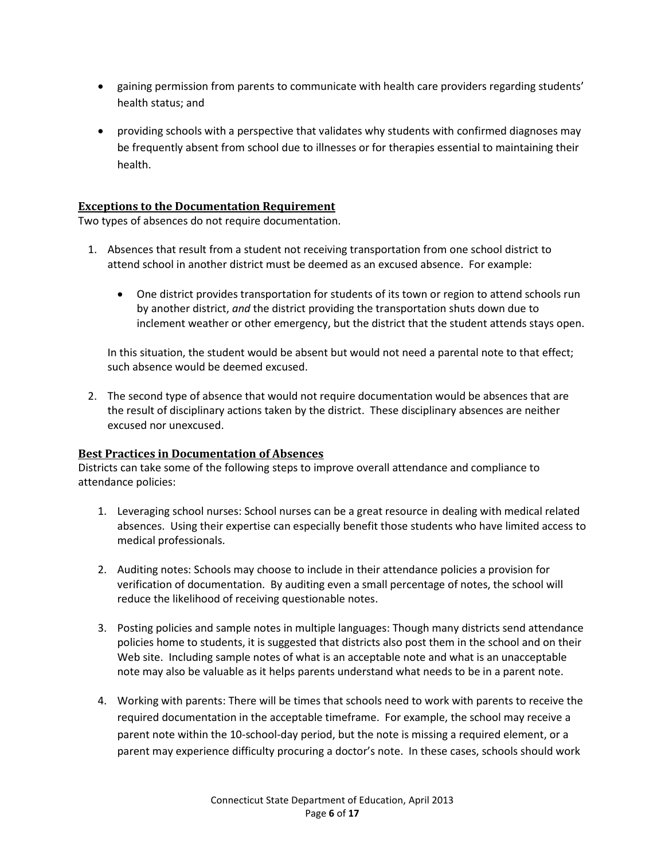- gaining permission from parents to communicate with health care providers regarding students' health status; and
- providing schools with a perspective that validates why students with confirmed diagnoses may be frequently absent from school due to illnesses or for therapies essential to maintaining their health.

#### <span id="page-7-0"></span>**Exceptions to the Documentation Requirement**

Two types of absences do not require documentation.

- 1. Absences that result from a student not receiving transportation from one school district to attend school in another district must be deemed as an excused absence. For example:
	- One district provides transportation for students of its town or region to attend schools run by another district, *and* the district providing the transportation shuts down due to inclement weather or other emergency, but the district that the student attends stays open.

In this situation, the student would be absent but would not need a parental note to that effect; such absence would be deemed excused.

2. The second type of absence that would not require documentation would be absences that are the result of disciplinary actions taken by the district. These disciplinary absences are neither excused nor unexcused.

#### <span id="page-7-1"></span>**Best Practices in Documentation of Absences**

Districts can take some of the following steps to improve overall attendance and compliance to attendance policies:

- 1. Leveraging school nurses: School nurses can be a great resource in dealing with medical related absences. Using their expertise can especially benefit those students who have limited access to medical professionals.
- 2. Auditing notes: Schools may choose to include in their attendance policies a provision for verification of documentation. By auditing even a small percentage of notes, the school will reduce the likelihood of receiving questionable notes.
- 3. Posting policies and sample notes in multiple languages: Though many districts send attendance policies home to students, it is suggested that districts also post them in the school and on their Web site. Including sample notes of what is an acceptable note and what is an unacceptable note may also be valuable as it helps parents understand what needs to be in a parent note.
- 4. Working with parents: There will be times that schools need to work with parents to receive the required documentation in the acceptable timeframe. For example, the school may receive a parent note within the 10-school-day period, but the note is missing a required element, or a parent may experience difficulty procuring a doctor's note. In these cases, schools should work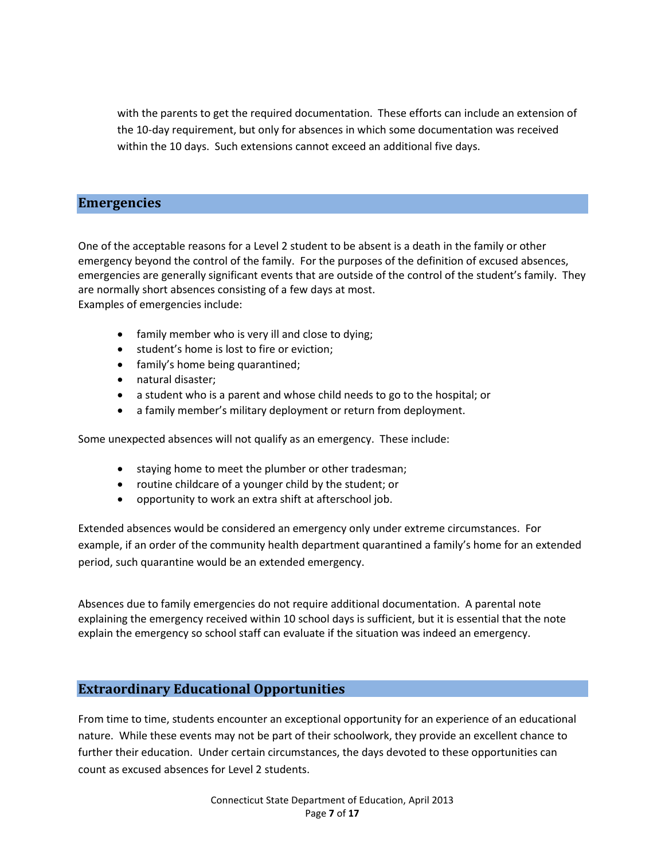with the parents to get the required documentation. These efforts can include an extension of the 10-day requirement, but only for absences in which some documentation was received within the 10 days. Such extensions cannot exceed an additional five days.

## <span id="page-8-0"></span>**Emergencies**

One of the acceptable reasons for a Level 2 student to be absent is a death in the family or other emergency beyond the control of the family. For the purposes of the definition of excused absences, emergencies are generally significant events that are outside of the control of the student's family. They are normally short absences consisting of a few days at most. Examples of emergencies include:

- family member who is very ill and close to dying;
- **•** student's home is lost to fire or eviction;
- family's home being quarantined;
- natural disaster;
- a student who is a parent and whose child needs to go to the hospital; or
- a family member's military deployment or return from deployment.

Some unexpected absences will not qualify as an emergency. These include:

- staying home to meet the plumber or other tradesman;
- routine childcare of a younger child by the student; or
- opportunity to work an extra shift at afterschool job.

Extended absences would be considered an emergency only under extreme circumstances. For example, if an order of the community health department quarantined a family's home for an extended period, such quarantine would be an extended emergency.

Absences due to family emergencies do not require additional documentation. A parental note explaining the emergency received within 10 school days is sufficient, but it is essential that the note explain the emergency so school staff can evaluate if the situation was indeed an emergency.

## <span id="page-8-1"></span>**Extraordinary Educational Opportunities**

From time to time, students encounter an exceptional opportunity for an experience of an educational nature. While these events may not be part of their schoolwork, they provide an excellent chance to further their education. Under certain circumstances, the days devoted to these opportunities can count as excused absences for Level 2 students.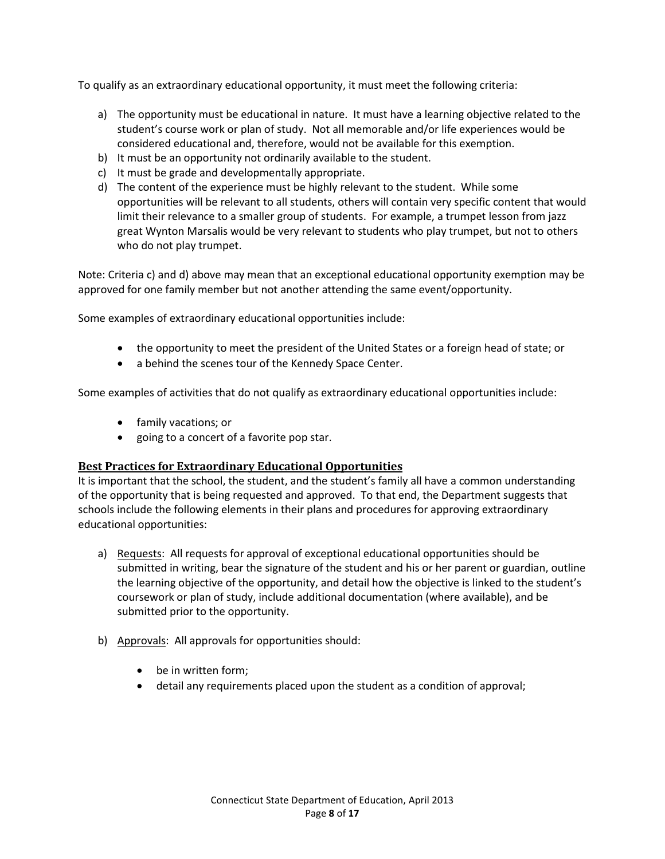To qualify as an extraordinary educational opportunity, it must meet the following criteria:

- a) The opportunity must be educational in nature. It must have a learning objective related to the student's course work or plan of study. Not all memorable and/or life experiences would be considered educational and, therefore, would not be available for this exemption.
- b) It must be an opportunity not ordinarily available to the student.
- c) It must be grade and developmentally appropriate.
- d) The content of the experience must be highly relevant to the student. While some opportunities will be relevant to all students, others will contain very specific content that would limit their relevance to a smaller group of students. For example, a trumpet lesson from jazz great Wynton Marsalis would be very relevant to students who play trumpet, but not to others who do not play trumpet.

Note: Criteria c) and d) above may mean that an exceptional educational opportunity exemption may be approved for one family member but not another attending the same event/opportunity.

Some examples of extraordinary educational opportunities include:

- the opportunity to meet the president of the United States or a foreign head of state; or
- a behind the scenes tour of the Kennedy Space Center.

Some examples of activities that do not qualify as extraordinary educational opportunities include:

- family vacations; or
- going to a concert of a favorite pop star.

#### <span id="page-9-0"></span>**Best Practices for Extraordinary Educational Opportunities**

It is important that the school, the student, and the student's family all have a common understanding of the opportunity that is being requested and approved. To that end, the Department suggests that schools include the following elements in their plans and procedures for approving extraordinary educational opportunities:

- a) Requests: All requests for approval of exceptional educational opportunities should be submitted in writing, bear the signature of the student and his or her parent or guardian, outline the learning objective of the opportunity, and detail how the objective is linked to the student's coursework or plan of study, include additional documentation (where available), and be submitted prior to the opportunity.
- b) Approvals: All approvals for opportunities should:
	- be in written form;
	- detail any requirements placed upon the student as a condition of approval;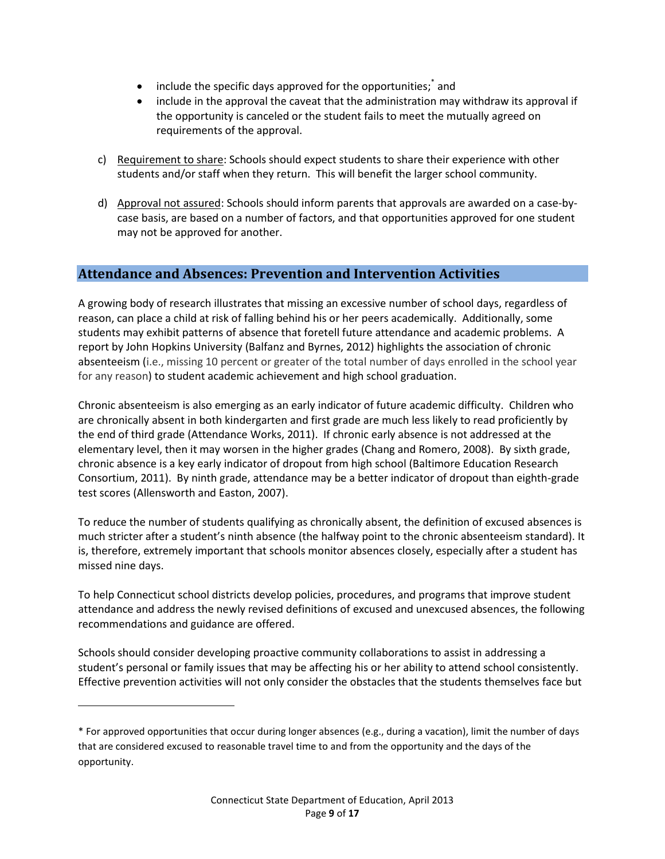- include the specific days approved for the opportunities;<sup>\*</sup> and
- include in the approval the caveat that the administration may withdraw its approval if the opportunity is canceled or the student fails to meet the mutually agreed on requirements of the approval.
- c) Requirement to share: Schools should expect students to share their experience with other students and/or staff when they return. This will benefit the larger school community.
- d) Approval not assured: Schools should inform parents that approvals are awarded on a case-bycase basis, are based on a number of factors, and that opportunities approved for one student may not be approved for another.

## <span id="page-10-0"></span>**Attendance and Absences: Prevention and Intervention Activities**

A growing body of research illustrates that missing an excessive number of school days, regardless of reason, can place a child at risk of falling behind his or her peers academically. Additionally, some students may exhibit patterns of absence that foretell future attendance and academic problems. A report by John Hopkins University (Balfanz and Byrnes, 2012) highlights the association of chronic absenteeism (i.e., missing 10 percent or greater of the total number of days enrolled in the school year for any reason) to student academic achievement and high school graduation.

Chronic absenteeism is also emerging as an early indicator of future academic difficulty. Children who are chronically absent in both kindergarten and first grade are much less likely to read proficiently by the end of third grade (Attendance Works, 2011). If chronic early absence is not addressed at the elementary level, then it may worsen in the higher grades (Chang and Romero, 2008). By sixth grade, chronic absence is a key early indicator of dropout from high school (Baltimore Education Research Consortium, 2011). By ninth grade, attendance may be a better indicator of dropout than eighth-grade test scores (Allensworth and Easton, 2007).

To reduce the number of students qualifying as chronically absent, the definition of excused absences is much stricter after a student's ninth absence (the halfway point to the chronic absenteeism standard). It is, therefore, extremely important that schools monitor absences closely, especially after a student has missed nine days.

To help Connecticut school districts develop policies, procedures, and programs that improve student attendance and address the newly revised definitions of excused and unexcused absences, the following recommendations and guidance are offered.

Schools should consider developing proactive community collaborations to assist in addressing a student's personal or family issues that may be affecting his or her ability to attend school consistently. Effective prevention activities will not only consider the obstacles that the students themselves face but

 $\overline{\phantom{a}}$ 

<sup>\*</sup> For approved opportunities that occur during longer absences (e.g., during a vacation), limit the number of days that are considered excused to reasonable travel time to and from the opportunity and the days of the opportunity.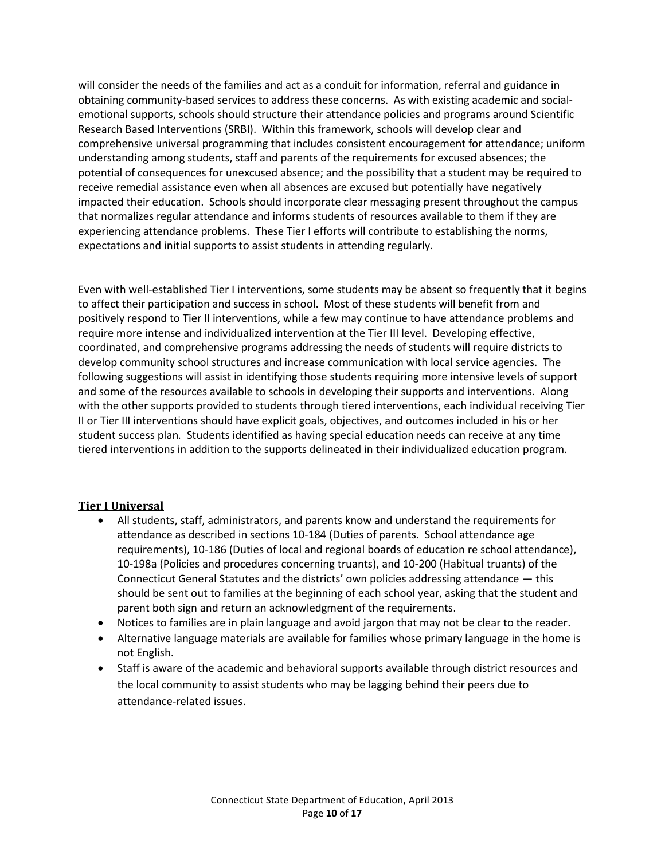will consider the needs of the families and act as a conduit for information, referral and guidance in obtaining community-based services to address these concerns. As with existing academic and socialemotional supports, schools should structure their attendance policies and programs around Scientific Research Based Interventions (SRBI). Within this framework, schools will develop clear and comprehensive universal programming that includes consistent encouragement for attendance; uniform understanding among students, staff and parents of the requirements for excused absences; the potential of consequences for unexcused absence; and the possibility that a student may be required to receive remedial assistance even when all absences are excused but potentially have negatively impacted their education. Schools should incorporate clear messaging present throughout the campus that normalizes regular attendance and informs students of resources available to them if they are experiencing attendance problems. These Tier I efforts will contribute to establishing the norms, expectations and initial supports to assist students in attending regularly.

Even with well-established Tier I interventions, some students may be absent so frequently that it begins to affect their participation and success in school. Most of these students will benefit from and positively respond to Tier II interventions, while a few may continue to have attendance problems and require more intense and individualized intervention at the Tier III level. Developing effective, coordinated, and comprehensive programs addressing the needs of students will require districts to develop community school structures and increase communication with local service agencies. The following suggestions will assist in identifying those students requiring more intensive levels of support and some of the resources available to schools in developing their supports and interventions. Along with the other supports provided to students through tiered interventions, each individual receiving Tier II or Tier III interventions should have explicit goals, objectives, and outcomes included in his or her student success plan*.* Students identified as having special education needs can receive at any time tiered interventions in addition to the supports delineated in their individualized education program.

## <span id="page-11-0"></span>**Tier I Universal**

- All students, staff, administrators, and parents know and understand the requirements for attendance as described in sections 10-184 (Duties of parents. School attendance age requirements), 10-186 (Duties of local and regional boards of education re school attendance), 10-198a (Policies and procedures concerning truants), and 10-200 (Habitual truants) of the Connecticut General Statutes and the districts' own policies addressing attendance — this should be sent out to families at the beginning of each school year, asking that the student and parent both sign and return an acknowledgment of the requirements.
- Notices to families are in plain language and avoid jargon that may not be clear to the reader.
- Alternative language materials are available for families whose primary language in the home is not English.
- Staff is aware of the academic and behavioral supports available through district resources and the local community to assist students who may be lagging behind their peers due to attendance-related issues.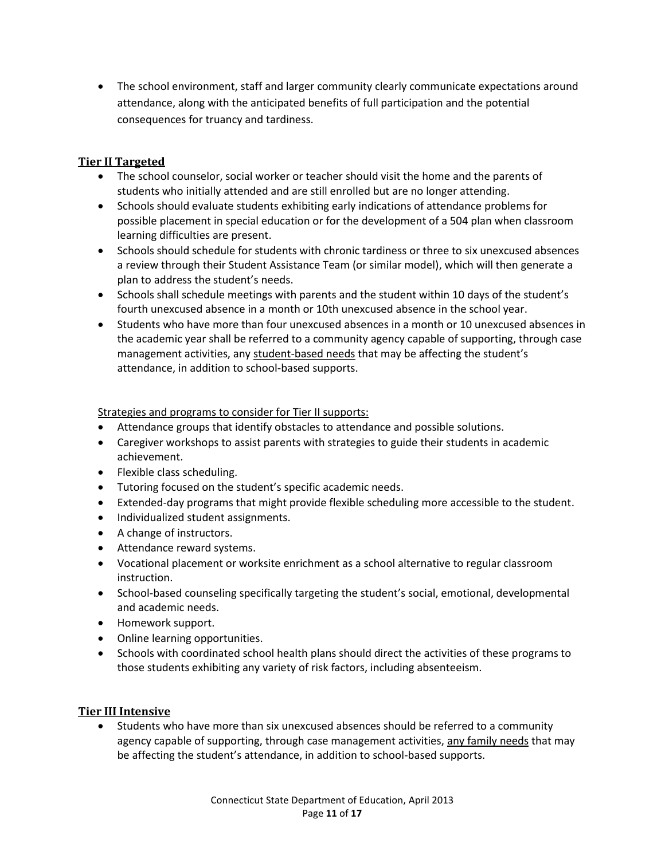The school environment, staff and larger community clearly communicate expectations around attendance, along with the anticipated benefits of full participation and the potential consequences for truancy and tardiness.

## <span id="page-12-0"></span>**Tier II Targeted**

- The school counselor, social worker or teacher should visit the home and the parents of students who initially attended and are still enrolled but are no longer attending.
- Schools should evaluate students exhibiting early indications of attendance problems for possible placement in special education or for the development of a 504 plan when classroom learning difficulties are present.
- Schools should schedule for students with chronic tardiness or three to six unexcused absences a review through their Student Assistance Team (or similar model), which will then generate a plan to address the student's needs.
- Schools shall schedule meetings with parents and the student within 10 days of the student's fourth unexcused absence in a month or 10th unexcused absence in the school year.
- Students who have more than four unexcused absences in a month or 10 unexcused absences in the academic year shall be referred to a community agency capable of supporting, through case management activities, any student-based needs that may be affecting the student's attendance, in addition to school-based supports.

## Strategies and programs to consider for Tier II supports:

- Attendance groups that identify obstacles to attendance and possible solutions.
- Caregiver workshops to assist parents with strategies to guide their students in academic achievement.
- Flexible class scheduling.
- Tutoring focused on the student's specific academic needs.
- Extended-day programs that might provide flexible scheduling more accessible to the student.
- Individualized student assignments.
- A change of instructors.
- Attendance reward systems.
- Vocational placement or worksite enrichment as a school alternative to regular classroom instruction.
- School-based counseling specifically targeting the student's social, emotional, developmental and academic needs.
- Homework support.
- Online learning opportunities.
- Schools with coordinated school health plans should direct the activities of these programs to those students exhibiting any variety of risk factors, including absenteeism.

#### <span id="page-12-1"></span>**Tier III Intensive**

 Students who have more than six unexcused absences should be referred to a community agency capable of supporting, through case management activities, any family needs that may be affecting the student's attendance, in addition to school-based supports.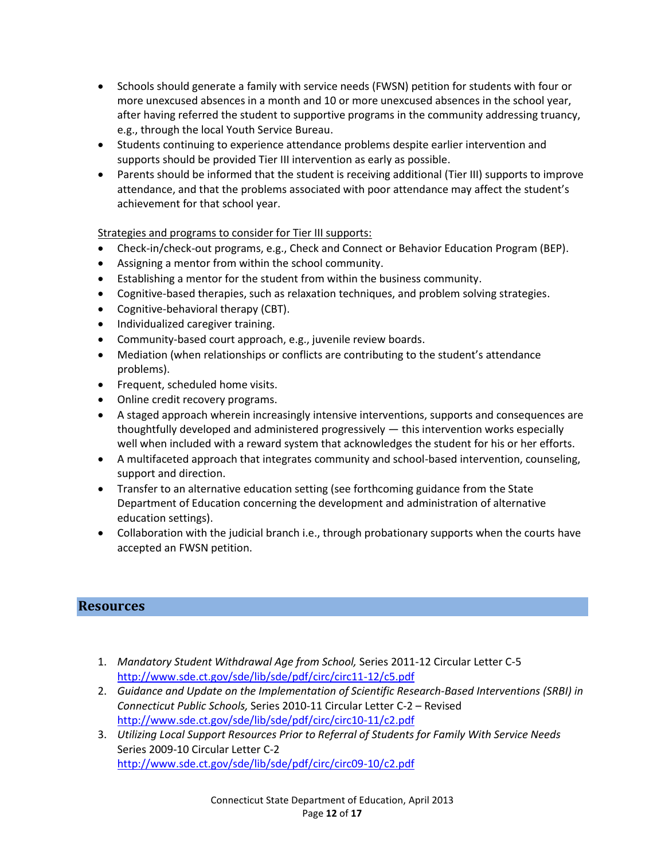- Schools should generate a family with service needs (FWSN) petition for students with four or more unexcused absences in a month and 10 or more unexcused absences in the school year, after having referred the student to supportive programs in the community addressing truancy, e.g., through the local Youth Service Bureau.
- Students continuing to experience attendance problems despite earlier intervention and supports should be provided Tier III intervention as early as possible.
- Parents should be informed that the student is receiving additional (Tier III) supports to improve attendance, and that the problems associated with poor attendance may affect the student's achievement for that school year.

Strategies and programs to consider for Tier III supports:

- Check-in/check-out programs, e.g., Check and Connect or Behavior Education Program (BEP).
- Assigning a mentor from within the school community.
- Establishing a mentor for the student from within the business community.
- Cognitive-based therapies, such as relaxation techniques, and problem solving strategies.
- Cognitive-behavioral therapy (CBT).
- Individualized caregiver training.
- Community-based court approach, e.g., juvenile review boards.
- Mediation (when relationships or conflicts are contributing to the student's attendance problems).
- Frequent, scheduled home visits.
- Online credit recovery programs.
- A staged approach wherein increasingly intensive interventions, supports and consequences are thoughtfully developed and administered progressively — this intervention works especially well when included with a reward system that acknowledges the student for his or her efforts.
- A multifaceted approach that integrates community and school-based intervention, counseling, support and direction.
- Transfer to an alternative education setting (see forthcoming guidance from the State Department of Education concerning the development and administration of alternative education settings).
- Collaboration with the judicial branch i.e., through probationary supports when the courts have accepted an FWSN petition.

## <span id="page-13-0"></span>**Resources**

- 1. *Mandatory Student Withdrawal Age from School,* Series 2011-12 Circular Letter C-5 <http://www.sde.ct.gov/sde/lib/sde/pdf/circ/circ11-12/c5.pdf>
- 2. *Guidance and Update on the Implementation of Scientific Research-Based Interventions (SRBI) in Connecticut Public Schools,* Series 2010-11 Circular Letter C-2 – Revised <http://www.sde.ct.gov/sde/lib/sde/pdf/circ/circ10-11/c2.pdf>
- 3. *Utilizing Local Support Resources Prior to Referral of Students for Family With Service Needs* Series 2009-10 Circular Letter C-2 <http://www.sde.ct.gov/sde/lib/sde/pdf/circ/circ09-10/c2.pdf>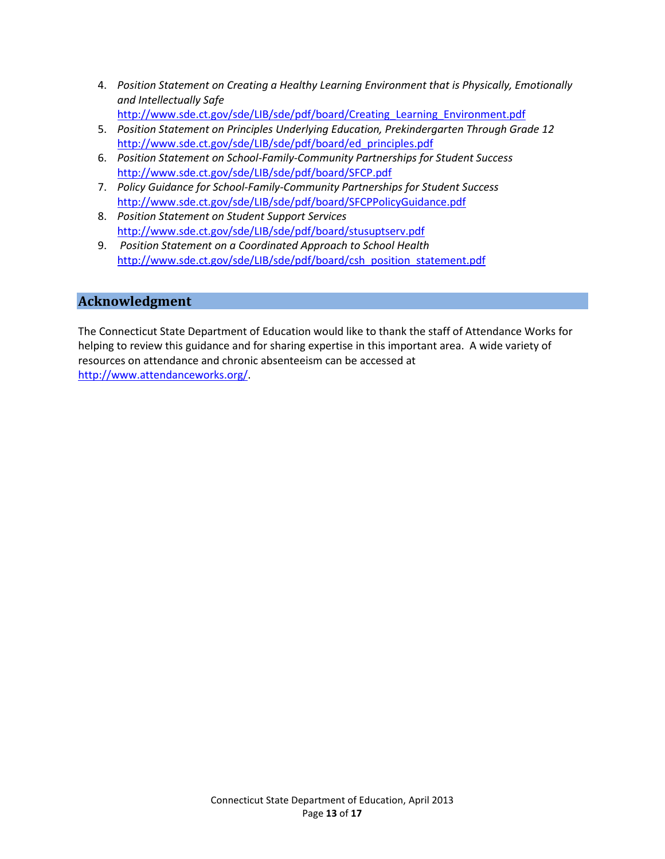- 4. *Position Statement on Creating a Healthy Learning Environment that is Physically, Emotionally and Intellectually Safe* [http://www.sde.ct.gov/sde/LIB/sde/pdf/board/Creating\\_Learning\\_Environment.pdf](http://www.sde.ct.gov/sde/LIB/sde/pdf/board/Creating_Learning_Environment.pdf)
- 5. *Position Statement on Principles Underlying Education, Prekindergarten Through Grade 12* [http://www.sde.ct.gov/sde/LIB/sde/pdf/board/ed\\_principles.pdf](http://www.sde.ct.gov/sde/LIB/sde/pdf/board/ed_principles.pdf)
- 6. *Position Statement on School-Family-Community Partnerships for Student Success* <http://www.sde.ct.gov/sde/LIB/sde/pdf/board/SFCP.pdf>
- 7. *Policy Guidance for School-Family-Community Partnerships for Student Success* <http://www.sde.ct.gov/sde/LIB/sde/pdf/board/SFCPPolicyGuidance.pdf>
- 8. *Position Statement on Student Support Services* <http://www.sde.ct.gov/sde/LIB/sde/pdf/board/stusuptserv.pdf>
- 9. *Position Statement on a Coordinated Approach to School Health* [http://www.sde.ct.gov/sde/LIB/sde/pdf/board/csh\\_position\\_statement.pdf](http://www.sde.ct.gov/sde/LIB/sde/pdf/board/csh_position_statement.pdf)

## <span id="page-14-0"></span>**Acknowledgment**

The Connecticut State Department of Education would like to thank the staff of Attendance Works for helping to review this guidance and for sharing expertise in this important area. A wide variety of resources on attendance and chronic absenteeism can be accessed at [http://www.attendanceworks.org/.](http://www.attendanceworks.org/)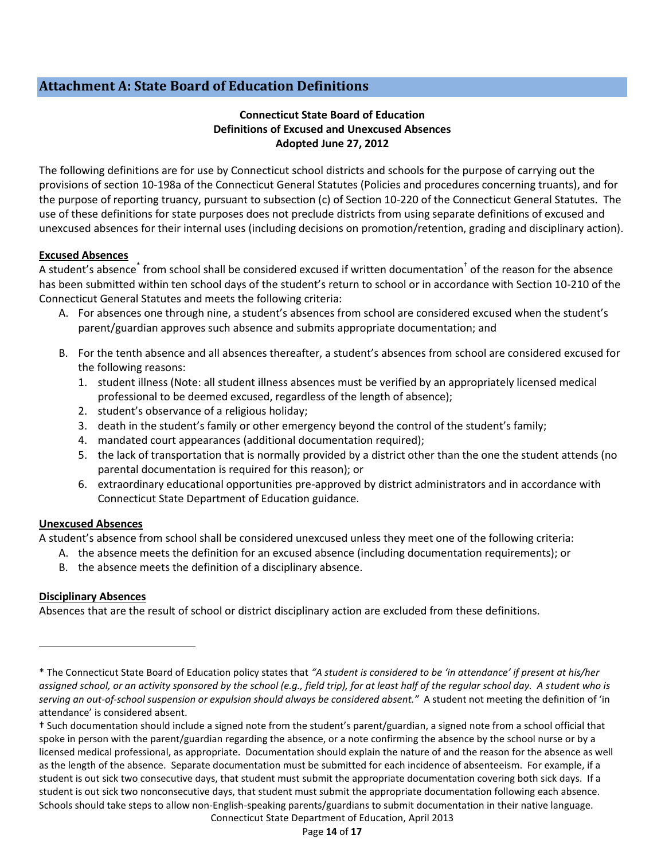## <span id="page-15-0"></span>**Attachment A: State Board of Education Definitions**

## **Connecticut State Board of Education Definitions of Excused and Unexcused Absences Adopted June 27, 2012**

The following definitions are for use by Connecticut school districts and schools for the purpose of carrying out the provisions of section 10-198a of the Connecticut General Statutes (Policies and procedures concerning truants), and for the purpose of reporting truancy, pursuant to subsection (c) of Section 10-220 of the Connecticut General Statutes. The use of these definitions for state purposes does not preclude districts from using separate definitions of excused and unexcused absences for their internal uses (including decisions on promotion/retention, grading and disciplinary action).

#### **Excused Absences**

A student's absence<sup>\*</sup> from school shall be considered excused if written documentation<sup>†</sup> of the reason for the absence has been submitted within ten school days of the student's return to school or in accordance with Section 10-210 of the Connecticut General Statutes and meets the following criteria:

- A. For absences one through nine, a student's absences from school are considered excused when the student's parent/guardian approves such absence and submits appropriate documentation; and
- B. For the tenth absence and all absences thereafter, a student's absences from school are considered excused for the following reasons:
	- 1. student illness (Note: all student illness absences must be verified by an appropriately licensed medical professional to be deemed excused, regardless of the length of absence);
	- 2. student's observance of a religious holiday;
	- 3. death in the student's family or other emergency beyond the control of the student's family;
	- 4. mandated court appearances (additional documentation required);
	- 5. the lack of transportation that is normally provided by a district other than the one the student attends (no parental documentation is required for this reason); or
	- 6. extraordinary educational opportunities pre-approved by district administrators and in accordance with Connecticut State Department of Education guidance.

#### **Unexcused Absences**

A student's absence from school shall be considered unexcused unless they meet one of the following criteria:

- A. the absence meets the definition for an excused absence (including documentation requirements); or
- B. the absence meets the definition of a disciplinary absence.

## **Disciplinary Absences**

l

Absences that are the result of school or district disciplinary action are excluded from these definitions.

<sup>\*</sup> The Connecticut State Board of Education policy states that *"A student is considered to be 'in attendance' if present at his/her assigned school, or an activity sponsored by the school (e.g., field trip), for at least half of the regular school day. A student who is serving an out-of-school suspension or expulsion should always be considered absent."* A student not meeting the definition of 'in attendance' is considered absent.

Connecticut State Department of Education, April 2013 † Such documentation should include a signed note from the student's parent/guardian, a signed note from a school official that spoke in person with the parent/guardian regarding the absence, or a note confirming the absence by the school nurse or by a licensed medical professional, as appropriate. Documentation should explain the nature of and the reason for the absence as well as the length of the absence. Separate documentation must be submitted for each incidence of absenteeism. For example, if a student is out sick two consecutive days, that student must submit the appropriate documentation covering both sick days. If a student is out sick two nonconsecutive days, that student must submit the appropriate documentation following each absence. Schools should take steps to allow non-English-speaking parents/guardians to submit documentation in their native language.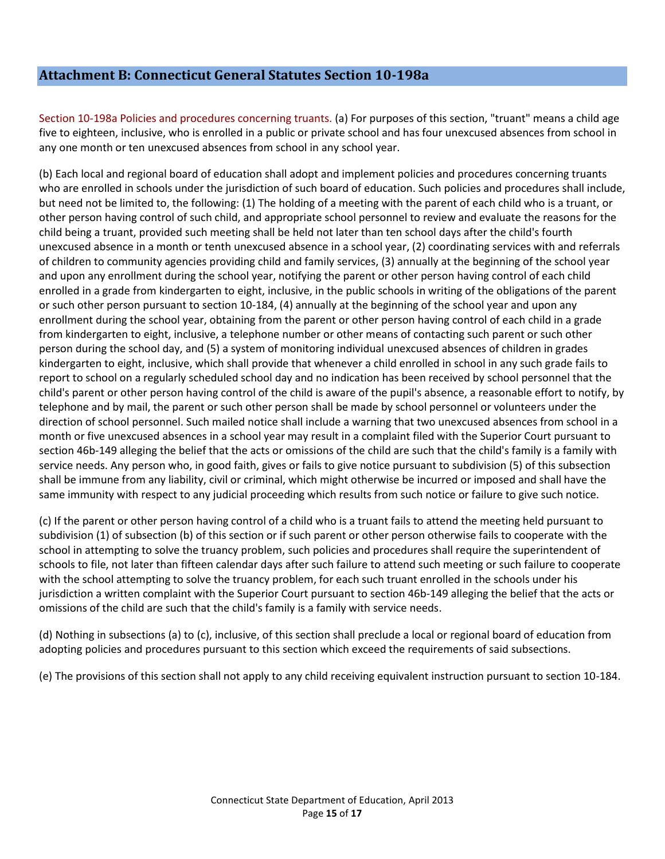## <span id="page-16-0"></span>**Attachment B: Connecticut General Statutes Section 10-198a**

Section 10-198a Policies and procedures concerning truants. (a) For purposes of this section, "truant" means a child age five to eighteen, inclusive, who is enrolled in a public or private school and has four unexcused absences from school in any one month or ten unexcused absences from school in any school year.

(b) Each local and regional board of education shall adopt and implement policies and procedures concerning truants who are enrolled in schools under the jurisdiction of such board of education. Such policies and procedures shall include, but need not be limited to, the following: (1) The holding of a meeting with the parent of each child who is a truant, or other person having control of such child, and appropriate school personnel to review and evaluate the reasons for the child being a truant, provided such meeting shall be held not later than ten school days after the child's fourth unexcused absence in a month or tenth unexcused absence in a school year, (2) coordinating services with and referrals of children to community agencies providing child and family services, (3) annually at the beginning of the school year and upon any enrollment during the school year, notifying the parent or other person having control of each child enrolled in a grade from kindergarten to eight, inclusive, in the public schools in writing of the obligations of the parent or such other person pursuant to section 10-184, (4) annually at the beginning of the school year and upon any enrollment during the school year, obtaining from the parent or other person having control of each child in a grade from kindergarten to eight, inclusive, a telephone number or other means of contacting such parent or such other person during the school day, and (5) a system of monitoring individual unexcused absences of children in grades kindergarten to eight, inclusive, which shall provide that whenever a child enrolled in school in any such grade fails to report to school on a regularly scheduled school day and no indication has been received by school personnel that the child's parent or other person having control of the child is aware of the pupil's absence, a reasonable effort to notify, by telephone and by mail, the parent or such other person shall be made by school personnel or volunteers under the direction of school personnel. Such mailed notice shall include a warning that two unexcused absences from school in a month or five unexcused absences in a school year may result in a complaint filed with the Superior Court pursuant to section 46b-149 alleging the belief that the acts or omissions of the child are such that the child's family is a family with service needs. Any person who, in good faith, gives or fails to give notice pursuant to subdivision (5) of this subsection shall be immune from any liability, civil or criminal, which might otherwise be incurred or imposed and shall have the same immunity with respect to any judicial proceeding which results from such notice or failure to give such notice.

(c) If the parent or other person having control of a child who is a truant fails to attend the meeting held pursuant to subdivision (1) of subsection (b) of this section or if such parent or other person otherwise fails to cooperate with the school in attempting to solve the truancy problem, such policies and procedures shall require the superintendent of schools to file, not later than fifteen calendar days after such failure to attend such meeting or such failure to cooperate with the school attempting to solve the truancy problem, for each such truant enrolled in the schools under his jurisdiction a written complaint with the Superior Court pursuant to section 46b-149 alleging the belief that the acts or omissions of the child are such that the child's family is a family with service needs.

(d) Nothing in subsections (a) to (c), inclusive, of this section shall preclude a local or regional board of education from adopting policies and procedures pursuant to this section which exceed the requirements of said subsections.

(e) The provisions of this section shall not apply to any child receiving equivalent instruction pursuant to section 10-184.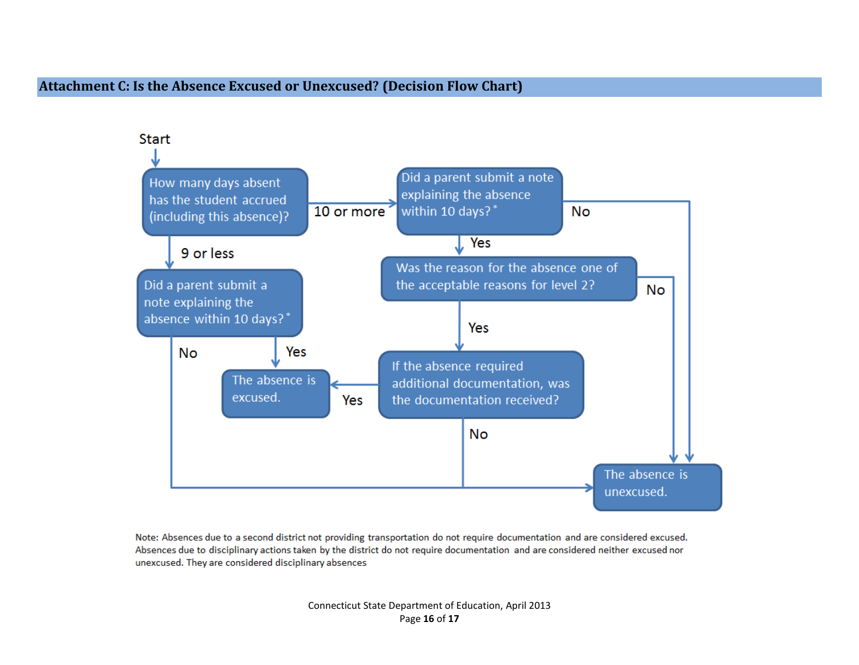## **Attachment C: Is the Absence Excused or Unexcused? (Decision Flow Chart)**

<span id="page-17-0"></span>

Note: Absences due to a second district not providing transportation do not require documentation and are considered excused. Absences due to disciplinary actions taken by the district do not require documentation and are considered neither excused nor unexcused. They are considered disciplinary absences